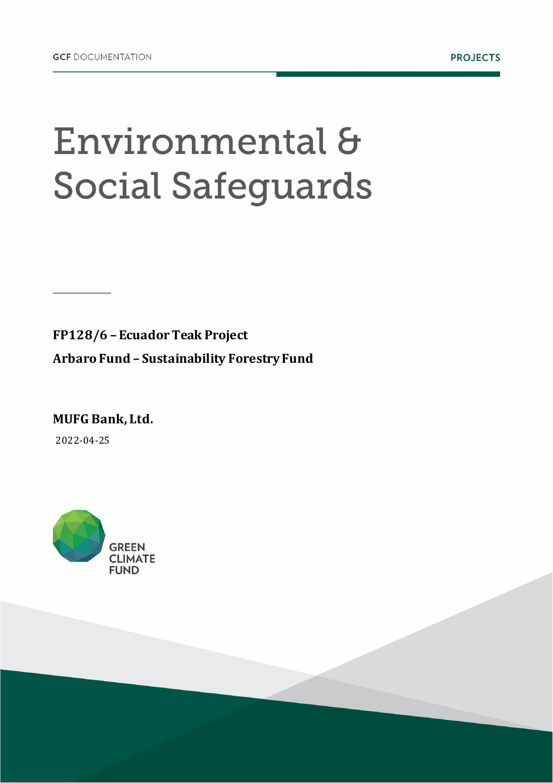# Environmental & **Social Safeguards**

**FP128/6 – Ecuador Teak Project Arbaro Fund – Sustainability Forestry Fund** 

**MUFG Bank, Ltd.**  2022-04-25

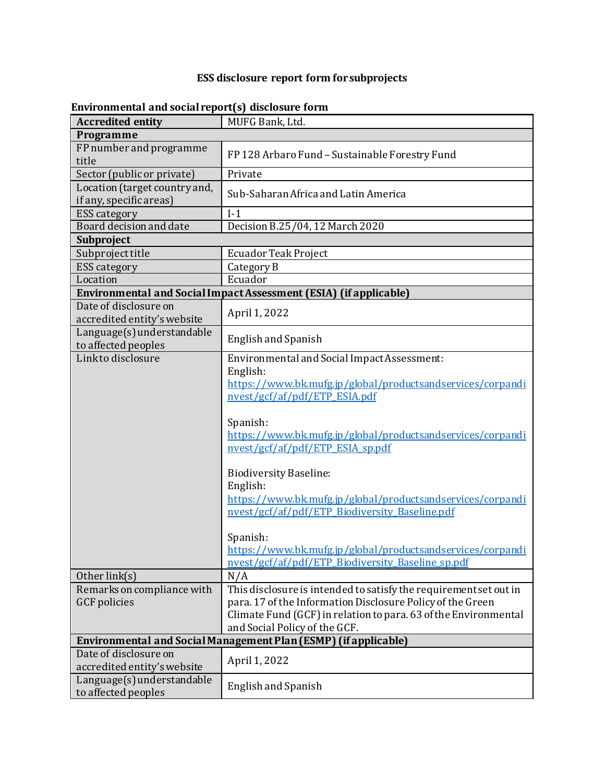#### **ESS disclosure report form for subprojects**

| <b>Accredited entity</b>                                 | MUFG Bank, Ltd.                                                                                                                                                                                                                                                                                                                                                                                                                                                                                                                                                 |  |  |
|----------------------------------------------------------|-----------------------------------------------------------------------------------------------------------------------------------------------------------------------------------------------------------------------------------------------------------------------------------------------------------------------------------------------------------------------------------------------------------------------------------------------------------------------------------------------------------------------------------------------------------------|--|--|
| Programme                                                |                                                                                                                                                                                                                                                                                                                                                                                                                                                                                                                                                                 |  |  |
| FP number and programme<br>title                         | FP128 Arbaro Fund - Sustainable Forestry Fund                                                                                                                                                                                                                                                                                                                                                                                                                                                                                                                   |  |  |
| Sector (public or private)                               | Private                                                                                                                                                                                                                                                                                                                                                                                                                                                                                                                                                         |  |  |
| Location (target country and,<br>if any, specific areas) | Sub-Saharan Africa and Latin America                                                                                                                                                                                                                                                                                                                                                                                                                                                                                                                            |  |  |
| <b>ESS</b> category                                      | $I-1$                                                                                                                                                                                                                                                                                                                                                                                                                                                                                                                                                           |  |  |
| Board decision and date                                  | Decision B.25/04, 12 March 2020                                                                                                                                                                                                                                                                                                                                                                                                                                                                                                                                 |  |  |
| Subproject                                               |                                                                                                                                                                                                                                                                                                                                                                                                                                                                                                                                                                 |  |  |
| Subproject title                                         | <b>Ecuador Teak Project</b>                                                                                                                                                                                                                                                                                                                                                                                                                                                                                                                                     |  |  |
| <b>ESS</b> category                                      | Category B                                                                                                                                                                                                                                                                                                                                                                                                                                                                                                                                                      |  |  |
| Location                                                 | Ecuador                                                                                                                                                                                                                                                                                                                                                                                                                                                                                                                                                         |  |  |
|                                                          | Environmental and Social Impact Assessment (ESIA) (if applicable)                                                                                                                                                                                                                                                                                                                                                                                                                                                                                               |  |  |
| Date of disclosure on<br>accredited entity's website     | April 1, 2022                                                                                                                                                                                                                                                                                                                                                                                                                                                                                                                                                   |  |  |
| Language(s) understandable<br>to affected peoples        | <b>English and Spanish</b>                                                                                                                                                                                                                                                                                                                                                                                                                                                                                                                                      |  |  |
| Link to disclosure                                       | Environmental and Social ImpactAssessment:<br>English:<br>https://www.bk.mufg.jp/global/productsandservices/corpandi<br>nvest/gcf/af/pdf/ETP_ESIA.pdf<br>Spanish:<br>https://www.bk.mufg.jp/global/productsandservices/corpandi<br>nvest/gcf/af/pdf/ETP ESIA sp.pdf<br><b>Biodiversity Baseline:</b><br>English:<br>https://www.bk.mufg.jp/global/productsandservices/corpandi<br>nvest/gcf/af/pdf/ETP Biodiversity Baseline.pdf<br>Spanish:<br>https://www.bk.mufg.jp/global/productsandservices/corpandi<br>nvest/gcf/af/pdf/ETP Biodiversity Baseline sp.pdf |  |  |
| Other link(s)                                            | N/A                                                                                                                                                                                                                                                                                                                                                                                                                                                                                                                                                             |  |  |
| Remarks on compliance with<br><b>GCF</b> policies        | This disclosure is intended to satisfy the requirement set out in<br>para. 17 of the Information Disclosure Policy of the Green<br>Climate Fund (GCF) in relation to para. 63 of the Environmental<br>and Social Policy of the GCF.                                                                                                                                                                                                                                                                                                                             |  |  |
|                                                          | Environmental and Social Management Plan (ESMP) (if applicable)                                                                                                                                                                                                                                                                                                                                                                                                                                                                                                 |  |  |
| Date of disclosure on<br>accredited entity's website     | April 1, 2022                                                                                                                                                                                                                                                                                                                                                                                                                                                                                                                                                   |  |  |
| Language(s) understandable<br>to affected peoples        | <b>English and Spanish</b>                                                                                                                                                                                                                                                                                                                                                                                                                                                                                                                                      |  |  |

#### **Environmental and social report(s) disclosure form**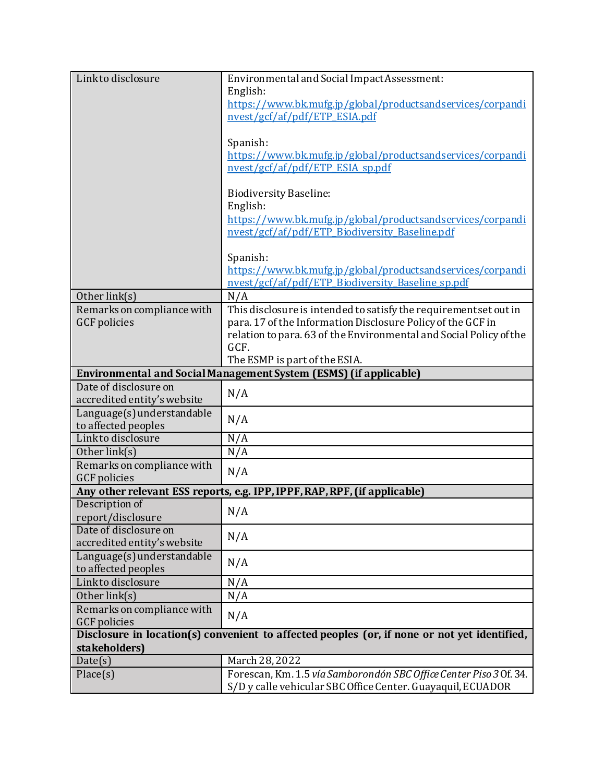| Link to disclosure          | Environmental and Social ImpactAssessment:                                                                                        |
|-----------------------------|-----------------------------------------------------------------------------------------------------------------------------------|
|                             | English:                                                                                                                          |
|                             | https://www.bk.mufg.jp/global/productsandservices/corpandi                                                                        |
|                             | nvest/gcf/af/pdf/ETP_ESIA.pdf                                                                                                     |
|                             |                                                                                                                                   |
|                             | Spanish:                                                                                                                          |
|                             | https://www.bk.mufg.jp/global/productsandservices/corpandi                                                                        |
|                             | nvest/gcf/af/pdf/ETP ESIA sp.pdf                                                                                                  |
|                             |                                                                                                                                   |
|                             | <b>Biodiversity Baseline:</b><br>English:                                                                                         |
|                             | https://www.bk.mufg.jp/global/productsandservices/corpandi                                                                        |
|                             | nvest/gcf/af/pdf/ETP Biodiversity Baseline.pdf                                                                                    |
|                             |                                                                                                                                   |
|                             | Spanish:                                                                                                                          |
|                             | https://www.bk.mufg.jp/global/productsandservices/corpandi                                                                        |
|                             | nvest/gcf/af/pdf/ETP Biodiversity Baseline sp.pdf                                                                                 |
| Other link(s)               | N/A                                                                                                                               |
| Remarks on compliance with  | This disclosure is intended to satisfy the requirement set out in                                                                 |
| <b>GCF</b> policies         | para. 17 of the Information Disclosure Policy of the GCF in                                                                       |
|                             | relation to para. 63 of the Environmental and Social Policy of the                                                                |
|                             | GCF.                                                                                                                              |
|                             | The ESMP is part of the ESIA.                                                                                                     |
|                             | Environmental and Social Management System (ESMS) (if applicable)                                                                 |
|                             |                                                                                                                                   |
| Date of disclosure on       |                                                                                                                                   |
| accredited entity's website | N/A                                                                                                                               |
| Language(s) understandable  |                                                                                                                                   |
| to affected peoples         | N/A                                                                                                                               |
| Link to disclosure          | N/A                                                                                                                               |
| Other link(s)               | N/A                                                                                                                               |
| Remarks on compliance with  |                                                                                                                                   |
| <b>GCF</b> policies         | N/A                                                                                                                               |
|                             | Any other relevant ESS reports, e.g. IPP, IPPF, RAP, RPF, (if applicable)                                                         |
| Description of              |                                                                                                                                   |
| report/disclosure           | N/A                                                                                                                               |
| Date of disclosure on       | N/A                                                                                                                               |
| accredited entity's website |                                                                                                                                   |
| Language(s) understandable  | N/A                                                                                                                               |
| to affected peoples         |                                                                                                                                   |
| Link to disclosure          | N/A                                                                                                                               |
| Other link(s)               | N/A                                                                                                                               |
| Remarks on compliance with  | N/A                                                                                                                               |
| <b>GCF</b> policies         |                                                                                                                                   |
|                             | Disclosure in location(s) convenient to affected peoples (or, if none or not yet identified,                                      |
| stakeholders)               |                                                                                                                                   |
| Date(s)                     | March 28, 2022                                                                                                                    |
| Place(s)                    | Forescan, Km. 1.5 vía Samborondón SBC Office Center Piso 3 Of. 34.<br>S/D y calle vehicular SBC Office Center. Guayaquil, ECUADOR |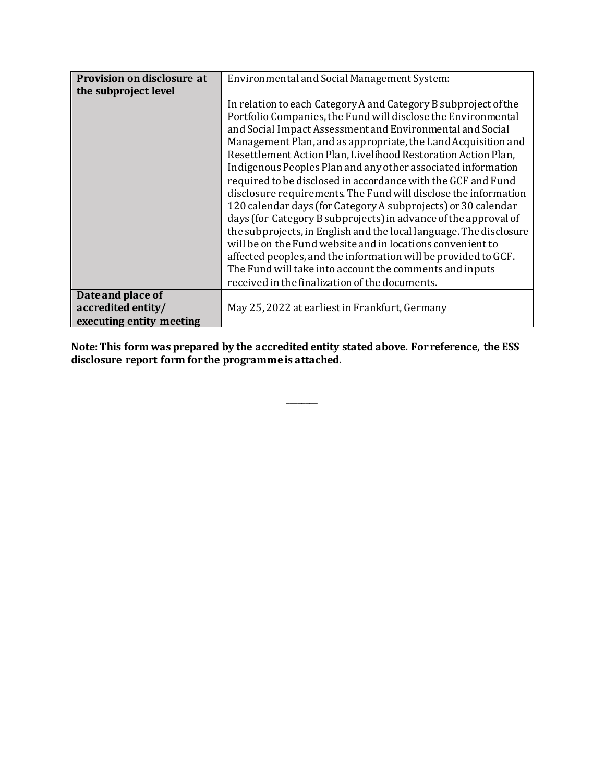| Provision on disclosure at | Environmental and Social Management System:                        |
|----------------------------|--------------------------------------------------------------------|
| the subproject level       |                                                                    |
|                            | In relation to each Category A and Category B subproject of the    |
|                            | Portfolio Companies, the Fund will disclose the Environmental      |
|                            | and Social Impact Assessment and Environmental and Social          |
|                            | Management Plan, and as appropriate, the Land Acquisition and      |
|                            | Resettlement Action Plan, Livelihood Restoration Action Plan,      |
|                            | Indigenous Peoples Plan and any other associated information       |
|                            | required to be disclosed in accordance with the GCF and Fund       |
|                            | disclosure requirements. The Fund will disclose the information    |
|                            | 120 calendar days (for Category A subprojects) or 30 calendar      |
|                            | days (for Category B subprojects) in advance of the approval of    |
|                            | the subprojects, in English and the local language. The disclosure |
|                            | will be on the Fund website and in locations convenient to         |
|                            | affected peoples, and the information will be provided to GCF.     |
|                            | The Fund will take into account the comments and inputs            |
|                            | received in the finalization of the documents.                     |
| Date and place of          |                                                                    |
| accredited entity/         | May 25, 2022 at earliest in Frankfurt, Germany                     |
| executing entity meeting   |                                                                    |

**Note: This form was prepared by the accredited entity stated above. For reference, the ESS disclosure report form for the programmeis attached.**

 $\overline{\phantom{a}}$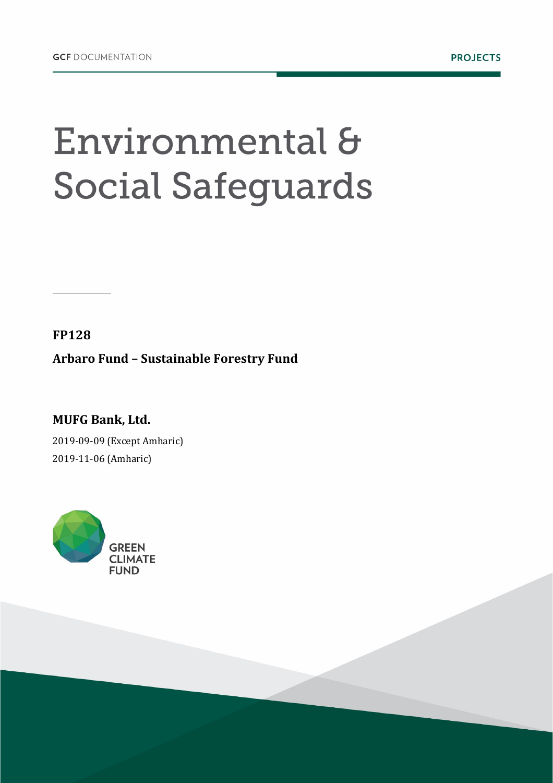# Environmental & **Social Safeguards**

**FP128**

**Arbaro Fund – Sustainable Forestry Fund**

**MUFG Bank, Ltd.** 2019-09-09 (Except Amharic) 2019-11-06 (Amharic)

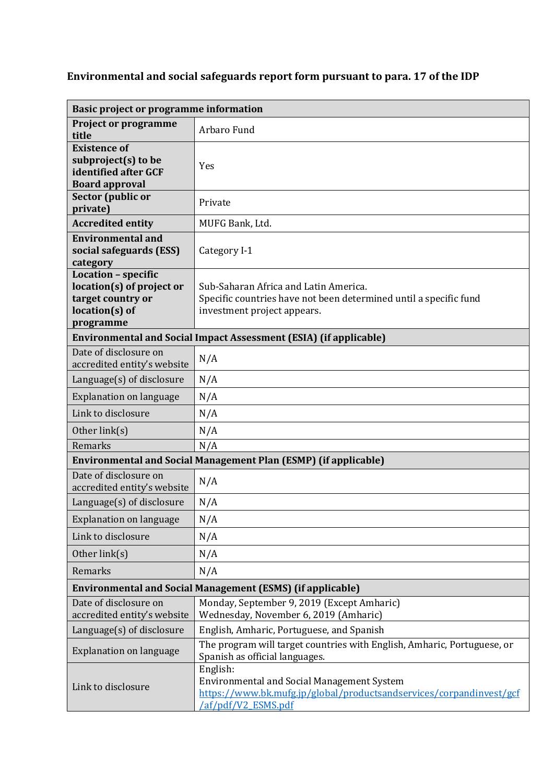### **Environmental and social safeguards report form pursuant to para. 17 of the IDP**

| <b>Basic project or programme information</b>                                                          |                                                                                                                                                             |  |
|--------------------------------------------------------------------------------------------------------|-------------------------------------------------------------------------------------------------------------------------------------------------------------|--|
| <b>Project or programme</b><br>title                                                                   | Arbaro Fund                                                                                                                                                 |  |
| <b>Existence of</b><br>subproject(s) to be<br>identified after GCF<br><b>Board approval</b>            | Yes                                                                                                                                                         |  |
| Sector (public or<br>private)                                                                          | Private                                                                                                                                                     |  |
| <b>Accredited entity</b>                                                                               | MUFG Bank, Ltd.                                                                                                                                             |  |
| <b>Environmental and</b><br>social safeguards (ESS)<br>category                                        | Category I-1                                                                                                                                                |  |
| Location - specific<br>location(s) of project or<br>target country or<br>$location(s)$ of<br>programme | Sub-Saharan Africa and Latin America.<br>Specific countries have not been determined until a specific fund<br>investment project appears.                   |  |
|                                                                                                        | <b>Environmental and Social Impact Assessment (ESIA) (if applicable)</b>                                                                                    |  |
| Date of disclosure on<br>accredited entity's website                                                   | N/A                                                                                                                                                         |  |
| Language(s) of disclosure                                                                              | N/A                                                                                                                                                         |  |
| <b>Explanation on language</b>                                                                         | N/A                                                                                                                                                         |  |
| Link to disclosure                                                                                     | N/A                                                                                                                                                         |  |
| Other $link(s)$                                                                                        | N/A                                                                                                                                                         |  |
| Remarks                                                                                                | N/A                                                                                                                                                         |  |
|                                                                                                        | <b>Environmental and Social Management Plan (ESMP) (if applicable)</b>                                                                                      |  |
| Date of disclosure on<br>accredited entity's website                                                   | N/A                                                                                                                                                         |  |
| Language(s) of disclosure                                                                              | N/A                                                                                                                                                         |  |
| <b>Explanation on language</b>                                                                         | N/A                                                                                                                                                         |  |
| Link to disclosure                                                                                     | N/A                                                                                                                                                         |  |
| Other link(s)                                                                                          | N/A                                                                                                                                                         |  |
| Remarks                                                                                                | N/A                                                                                                                                                         |  |
| <b>Environmental and Social Management (ESMS) (if applicable)</b>                                      |                                                                                                                                                             |  |
| Date of disclosure on<br>accredited entity's website                                                   | Monday, September 9, 2019 (Except Amharic)<br>Wednesday, November 6, 2019 (Amharic)                                                                         |  |
| Language(s) of disclosure                                                                              | English, Amharic, Portuguese, and Spanish                                                                                                                   |  |
| <b>Explanation on language</b>                                                                         | The program will target countries with English, Amharic, Portuguese, or<br>Spanish as official languages.                                                   |  |
| Link to disclosure                                                                                     | English:<br><b>Environmental and Social Management System</b><br>https://www.bk.mufg.jp/global/productsandservices/corpandinvest/gcf<br>/af/pdf/V2 ESMS.pdf |  |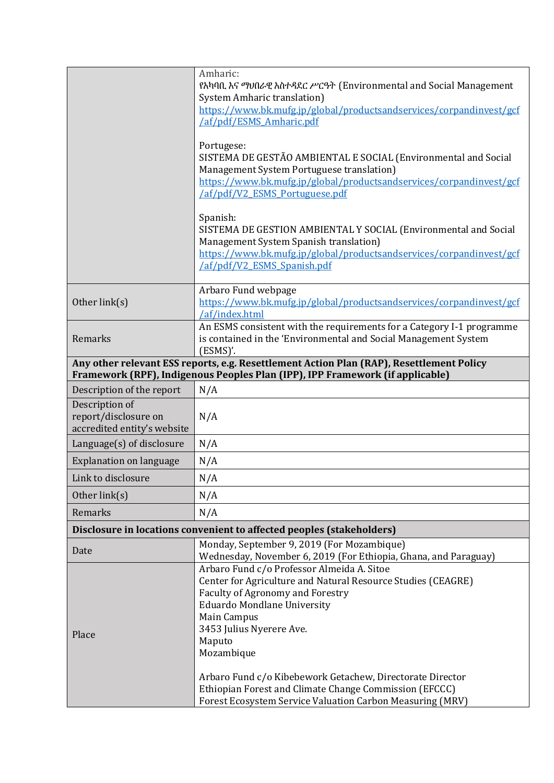|                                                                       | Amharic:                                                                                                         |  |
|-----------------------------------------------------------------------|------------------------------------------------------------------------------------------------------------------|--|
|                                                                       | የአካባቢ እና ማህበራዊ አስተዳደር ሥርዓት (Environmental and Social Management                                                  |  |
|                                                                       | <b>System Amharic translation</b> )                                                                              |  |
|                                                                       | https://www.bk.mufg.jp/global/productsandservices/corpandinvest/gcf<br>/af/pdf/ESMS Amharic.pdf                  |  |
|                                                                       |                                                                                                                  |  |
|                                                                       | Portugese:                                                                                                       |  |
|                                                                       | SISTEMA DE GESTÃO AMBIENTAL E SOCIAL (Environmental and Social                                                   |  |
|                                                                       | Management System Portuguese translation)<br>https://www.bk.mufg.jp/global/productsandservices/corpandinvest/gcf |  |
|                                                                       | /af/pdf/V2 ESMS Portuguese.pdf                                                                                   |  |
|                                                                       |                                                                                                                  |  |
|                                                                       | Spanish:<br>SISTEMA DE GESTION AMBIENTAL Y SOCIAL (Environmental and Social                                      |  |
|                                                                       | Management System Spanish translation)                                                                           |  |
|                                                                       | https://www.bk.mufg.jp/global/productsandservices/corpandinvest/gcf                                              |  |
|                                                                       | /af/pdf/V2 ESMS Spanish.pdf                                                                                      |  |
|                                                                       |                                                                                                                  |  |
| Other link(s)                                                         | Arbaro Fund webpage<br>https://www.bk.mufg.jp/global/productsandservices/corpandinvest/gcf                       |  |
|                                                                       | /af/index.html                                                                                                   |  |
|                                                                       | An ESMS consistent with the requirements for a Category I-1 programme                                            |  |
| Remarks                                                               | is contained in the 'Environmental and Social Management System                                                  |  |
|                                                                       | $(ESMS)'$ .<br>Any other relevant ESS reports, e.g. Resettlement Action Plan (RAP), Resettlement Policy          |  |
|                                                                       | Framework (RPF), Indigenous Peoples Plan (IPP), IPP Framework (if applicable)                                    |  |
| Description of the report                                             | N/A                                                                                                              |  |
| Description of                                                        |                                                                                                                  |  |
| report/disclosure on                                                  | N/A                                                                                                              |  |
| accredited entity's website                                           |                                                                                                                  |  |
| Language(s) of disclosure                                             | N/A                                                                                                              |  |
| <b>Explanation on language</b>                                        | N/A                                                                                                              |  |
| Link to disclosure                                                    | N/A                                                                                                              |  |
| Other link(s)                                                         | N/A                                                                                                              |  |
| Remarks                                                               | N/A                                                                                                              |  |
| Disclosure in locations convenient to affected peoples (stakeholders) |                                                                                                                  |  |
| Date                                                                  | Monday, September 9, 2019 (For Mozambique)                                                                       |  |
|                                                                       | Wednesday, November 6, 2019 (For Ethiopia, Ghana, and Paraguay)                                                  |  |
|                                                                       | Arbaro Fund c/o Professor Almeida A. Sitoe<br>Center for Agriculture and Natural Resource Studies (CEAGRE)       |  |
|                                                                       | <b>Faculty of Agronomy and Forestry</b>                                                                          |  |
|                                                                       | <b>Eduardo Mondlane University</b>                                                                               |  |
| Place                                                                 | Main Campus                                                                                                      |  |
|                                                                       | 3453 Julius Nyerere Ave.                                                                                         |  |
|                                                                       | Maputo                                                                                                           |  |
|                                                                       | Mozambique                                                                                                       |  |
|                                                                       | Arbaro Fund c/o Kibebework Getachew, Directorate Director                                                        |  |
|                                                                       | Ethiopian Forest and Climate Change Commission (EFCCC)                                                           |  |
|                                                                       | Forest Ecosystem Service Valuation Carbon Measuring (MRV)                                                        |  |